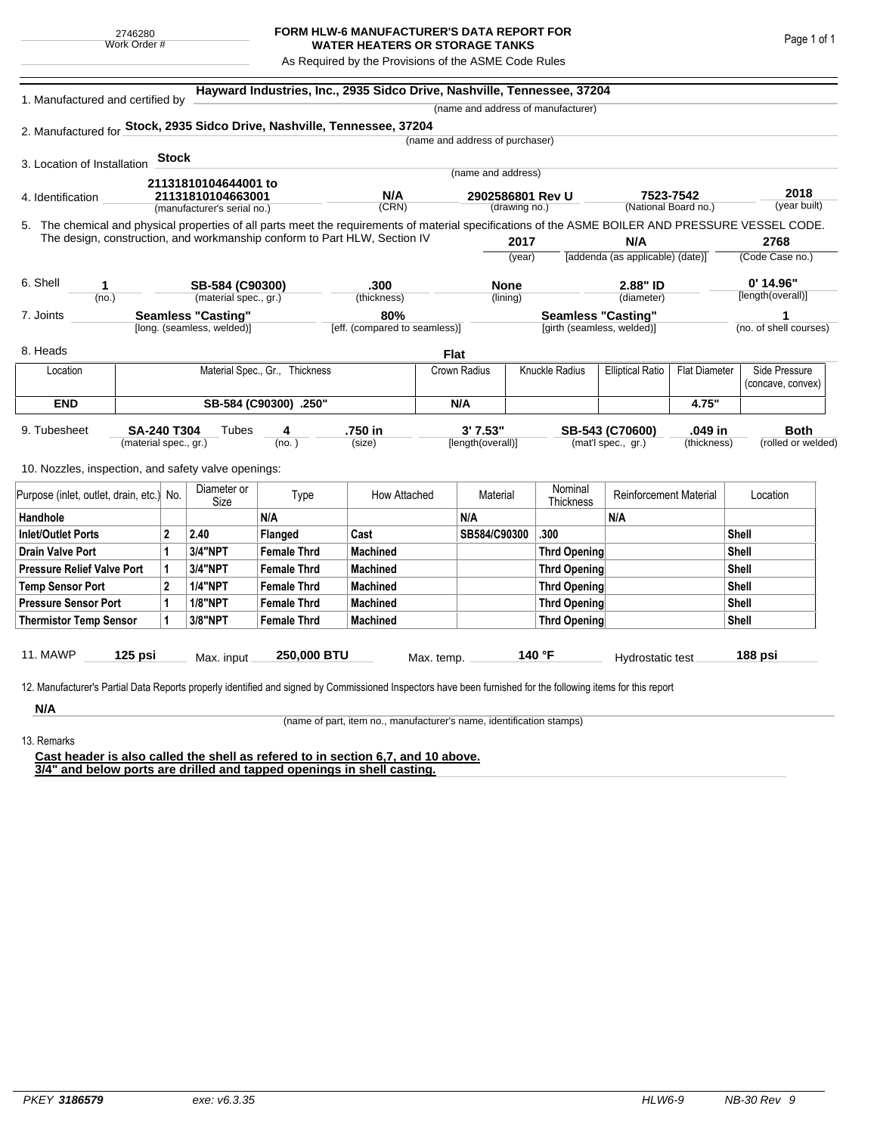## **FORM HLW-6 MANUFACTURER'S DATA REPORT FOR WATER HEATERS OR STORAGE TANKS**

As Required by the Provisions of the ASME Code Rules

| 1. Manufactured and certified by                                                                                                                   |                                                                           |             |                             |                                | Hayward Industries, Inc., 2935 Sidco Drive, Nashville, Tennessee, 37204 |                                 |                |                                    |                                         |                      |                         |
|----------------------------------------------------------------------------------------------------------------------------------------------------|---------------------------------------------------------------------------|-------------|-----------------------------|--------------------------------|-------------------------------------------------------------------------|---------------------------------|----------------|------------------------------------|-----------------------------------------|----------------------|-------------------------|
|                                                                                                                                                    |                                                                           |             |                             |                                |                                                                         |                                 |                | (name and address of manufacturer) |                                         |                      |                         |
| 2. Manufactured for Stock, 2935 Sidco Drive, Nashville, Tennessee, 37204                                                                           |                                                                           |             |                             |                                |                                                                         |                                 |                |                                    |                                         |                      |                         |
|                                                                                                                                                    |                                                                           |             |                             |                                |                                                                         | (name and address of purchaser) |                |                                    |                                         |                      |                         |
| 3. Location of Installation                                                                                                                        |                                                                           | Stock       |                             |                                |                                                                         |                                 |                |                                    |                                         |                      |                         |
|                                                                                                                                                    |                                                                           |             | 21131810104644001 to        |                                |                                                                         | (name and address)              |                |                                    |                                         |                      |                         |
| 4. Identification                                                                                                                                  |                                                                           |             | 21131810104663001           |                                | N/A                                                                     | 2902586801 Rev U                |                |                                    | 7523-7542<br>(National Board no.)       |                      | 2018<br>(year built)    |
|                                                                                                                                                    |                                                                           |             | (manufacturer's serial no.) |                                | (CRN)                                                                   |                                 | (drawing no.)  |                                    |                                         |                      |                         |
| 5. The chemical and physical properties of all parts meet the requirements of material specifications of the ASME BOILER AND PRESSURE VESSEL CODE. |                                                                           |             |                             |                                |                                                                         |                                 |                |                                    |                                         |                      |                         |
|                                                                                                                                                    | The design, construction, and workmanship conform to Part HLW, Section IV |             |                             |                                |                                                                         |                                 | 2017<br>(year) |                                    | N/A<br>[addenda (as applicable) (date)] |                      | 2768<br>(Code Case no.) |
|                                                                                                                                                    |                                                                           |             |                             |                                |                                                                         |                                 |                |                                    |                                         |                      |                         |
| 6. Shell<br>1                                                                                                                                      |                                                                           |             | SB-584 (C90300)             |                                | .300                                                                    |                                 | <b>None</b>    |                                    | 2.88" ID                                |                      | $0'$ 14.96"             |
| (no.)                                                                                                                                              |                                                                           |             | (material spec., gr.)       |                                | (thickness)                                                             |                                 | (lining)       |                                    | (diameter)                              |                      | [length(overall)]       |
| 7. Joints                                                                                                                                          |                                                                           |             | <b>Seamless "Casting"</b>   |                                | 80%                                                                     |                                 |                | <b>Seamless "Casting"</b>          |                                         |                      | 1                       |
|                                                                                                                                                    |                                                                           |             | [long. (seamless, welded)]  |                                | [eff. (compared to seamless)]                                           |                                 |                | [girth (seamless, welded)]         |                                         |                      | (no. of shell courses)  |
| 8. Heads                                                                                                                                           |                                                                           |             |                             |                                |                                                                         | <b>Flat</b>                     |                |                                    |                                         |                      |                         |
| Location                                                                                                                                           |                                                                           |             |                             | Material Spec., Gr., Thickness |                                                                         | Crown Radius                    |                | Knuckle Radius                     | <b>Elliptical Ratio</b>                 | <b>Flat Diameter</b> | Side Pressure           |
|                                                                                                                                                    |                                                                           |             |                             |                                |                                                                         |                                 |                |                                    |                                         |                      | (concave, convex)       |
| <b>END</b>                                                                                                                                         | SB-584 (C90300) .250"                                                     |             |                             |                                |                                                                         | N/A                             |                |                                    |                                         | 4.75"                |                         |
| 9. Tubesheet                                                                                                                                       | <b>SA-240 T304</b>                                                        |             | Tubes                       | 4                              | .750 in                                                                 | 3'7.53"                         |                |                                    | SB-543 (C70600)                         | .049 in              | <b>Both</b>             |
|                                                                                                                                                    | (material spec., gr.)                                                     |             |                             | (no. )                         | (size)                                                                  | [length(overall)]               |                |                                    | (mat'l spec., gr.)                      | (thickness)          | (rolled or welded)      |
|                                                                                                                                                    |                                                                           |             |                             |                                |                                                                         |                                 |                |                                    |                                         |                      |                         |
| 10. Nozzles, inspection, and safety valve openings:                                                                                                |                                                                           |             |                             |                                |                                                                         |                                 |                |                                    |                                         |                      |                         |
| Purpose (inlet, outlet, drain, etc.) No.                                                                                                           |                                                                           |             | Diameter or<br>Size         | Type                           | How Attached                                                            |                                 | Material       | Nominal<br>Thickness               | <b>Reinforcement Material</b>           |                      | Location                |
| Handhole                                                                                                                                           |                                                                           |             |                             | N/A                            |                                                                         | N/A                             |                |                                    | N/A                                     |                      |                         |
| <b>Inlet/Outlet Ports</b>                                                                                                                          |                                                                           | $\mathbf 2$ | 2.40                        | <b>Flanged</b>                 | Cast                                                                    | SB584/C90300                    |                | .300                               |                                         |                      | <b>Shell</b>            |
| <b>Drain Valve Port</b>                                                                                                                            |                                                                           | 1           | <b>3/4"NPT</b>              | <b>Female Thrd</b>             | <b>Machined</b>                                                         |                                 |                | <b>Thrd Opening</b>                |                                         |                      | Shell                   |
| <b>Pressure Relief Valve Port</b>                                                                                                                  |                                                                           | 1           | <b>3/4"NPT</b>              | <b>Female Thrd</b>             | <b>Machined</b>                                                         |                                 |                | <b>Thrd Opening</b>                |                                         |                      | <b>Shell</b>            |
| <b>Temp Sensor Port</b>                                                                                                                            |                                                                           | $\mathbf 2$ | <b>1/4"NPT</b>              | <b>Female Thrd</b>             | <b>Machined</b>                                                         |                                 |                | <b>Thrd Opening</b>                |                                         |                      | Shell                   |
| <b>Pressure Sensor Port</b>                                                                                                                        |                                                                           | 1           | <b>1/8"NPT</b>              | <b>Female Thrd</b>             | <b>Machined</b>                                                         |                                 |                | <b>Thrd Opening</b>                |                                         |                      | <b>Shell</b>            |
| <b>Thermistor Temp Sensor</b>                                                                                                                      |                                                                           | 1           | 3/8"NPT                     | <b>Female Thrd</b>             | <b>Machined</b>                                                         |                                 |                | <b>Thrd Opening</b>                |                                         |                      | Shell                   |
|                                                                                                                                                    |                                                                           |             |                             |                                |                                                                         |                                 |                |                                    |                                         |                      |                         |
| <b>11. MAWP</b><br>125 psi                                                                                                                         |                                                                           |             | Max. input                  | 250,000 BTU                    |                                                                         | Max. temp.                      |                | 140 °F                             | Hydrostatic test                        |                      | 188 psi                 |
|                                                                                                                                                    |                                                                           |             |                             |                                |                                                                         |                                 |                |                                    |                                         |                      |                         |

**N/A** 13. Remarks

(name of part, item no., manufacturer's name, identification stamps)

**Cast header is also called the shell as refered to in section 6,7, and 10 above. 3/4" and below ports are drilled and tapped openings in shell casting.**